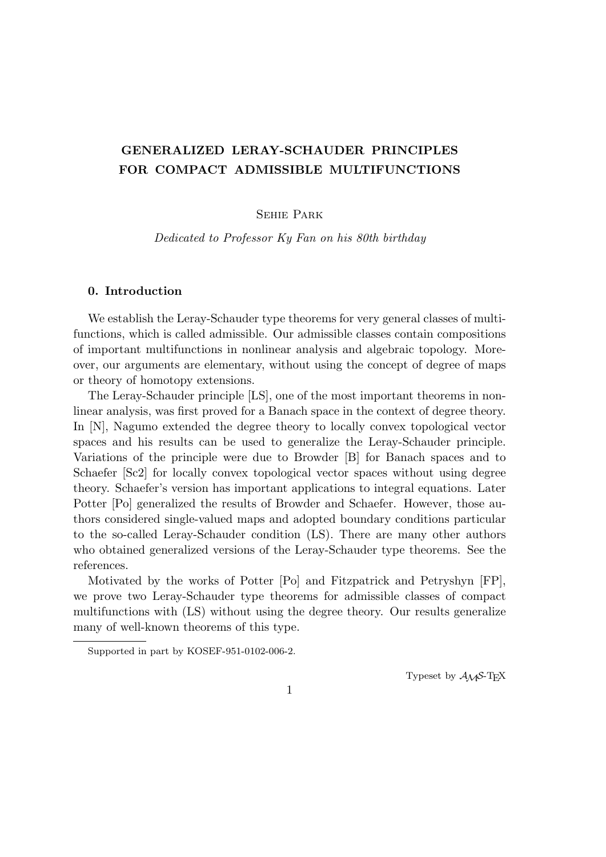# **GENERALIZED LERAY-SCHAUDER PRINCIPLES FOR COMPACT ADMISSIBLE MULTIFUNCTIONS**

# Sehie Park

*Dedicated to Professor Ky Fan on his 80th birthday*

# **0. Introduction**

We establish the Leray-Schauder type theorems for very general classes of multifunctions, which is called admissible. Our admissible classes contain compositions of important multifunctions in nonlinear analysis and algebraic topology. Moreover, our arguments are elementary, without using the concept of degree of maps or theory of homotopy extensions.

The Leray-Schauder principle [LS], one of the most important theorems in nonlinear analysis, was first proved for a Banach space in the context of degree theory. In [N], Nagumo extended the degree theory to locally convex topological vector spaces and his results can be used to generalize the Leray-Schauder principle. Variations of the principle were due to Browder [B] for Banach spaces and to Schaefer [Sc2] for locally convex topological vector spaces without using degree theory. Schaefer's version has important applications to integral equations. Later Potter [Po] generalized the results of Browder and Schaefer. However, those authors considered single-valued maps and adopted boundary conditions particular to the so-called Leray-Schauder condition (LS). There are many other authors who obtained generalized versions of the Leray-Schauder type theorems. See the references.

Motivated by the works of Potter [Po] and Fitzpatrick and Petryshyn [FP], we prove two Leray-Schauder type theorems for admissible classes of compact multifunctions with (LS) without using the degree theory. Our results generalize many of well-known theorems of this type.

Typeset by  $\mathcal{A}_{\mathcal{M}}\mathcal{S}\text{-}\mathrm{Tr}X$ 

Supported in part by KOSEF-951-0102-006-2.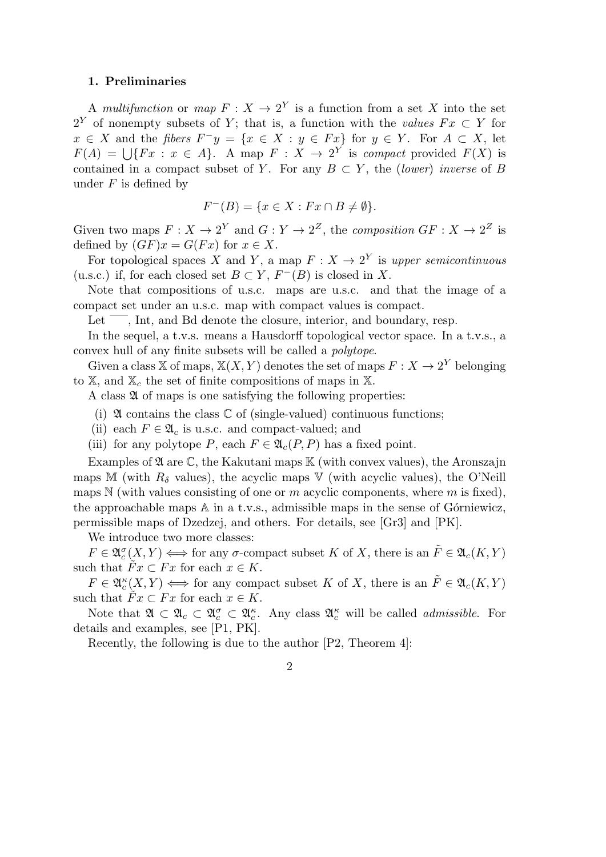### **1. Preliminaries**

A *multifunction* or *map*  $F: X \to 2^Y$  is a function from a set X into the set 2<sup>*Y*</sup> of nonempty subsets of *Y*; that is, a function with the *values*  $Fx \subset Y$  for  $x \in X$  and the *fibers*  $F^{-}y = \{x \in X : y \in Fx\}$  for  $y \in Y$ . For  $A \subset X$ , let  $F(A) = \bigcup \{Fx : x \in A\}$ . A map  $F: X \to 2^Y$  is *compact* provided  $F(X)$  is contained in a compact subset of *Y*. For any  $B \subset Y$ , the *(lower) inverse* of *B* under *F* is defined by

$$
F^{-}(B) = \{ x \in X : Fx \cap B \neq \emptyset \}.
$$

Given two maps  $F: X \to 2^Y$  and  $G: Y \to 2^Z$ , the *composition*  $GF: X \to 2^Z$  is defined by  $(GF)x = G(Fx)$  for  $x \in X$ .

For topological spaces *X* and *Y*, a map  $F: X \to 2^Y$  is upper semicontinuous (u.s.c.) if, for each closed set  $B \subset Y$ ,  $F^{-}(B)$  is closed in *X*.

Note that compositions of u.s.c. maps are u.s.c. and that the image of a compact set under an u.s.c. map with compact values is compact.

Let  $\overline{\phantom{a}}$ , Int, and Bd denote the closure, interior, and boundary, resp.

In the sequel, a t.v.s. means a Hausdorff topological vector space. In a t.v.s., a convex hull of any finite subsets will be called a *polytope*.

Given a class X of maps,  $X(X, Y)$  denotes the set of maps  $F: X \to 2^Y$  belonging to  $X$ , and  $X_c$  the set of finite compositions of maps in  $X$ .

A class  $\mathfrak A$  of maps is one satisfying the following properties:

- (i)  $\mathfrak A$  contains the class  $\mathbb C$  of (single-valued) continuous functions;
- (ii) each  $F \in \mathfrak{A}_c$  is u.s.c. and compact-valued; and

(iii) for any polytope *P*, each  $F \in \mathfrak{A}_{c}(P, P)$  has a fixed point.

Examples of  $\mathfrak A$  are  $\mathbb C$ , the Kakutani maps  $\mathbb K$  (with convex values), the Aronszajn maps M (with  $R_\delta$  values), the acyclic maps V (with acyclic values), the O'Neill maps N (with values consisting of one or *m* acyclic components, where *m* is fixed), the approachable maps  $A$  in a t.v.s., admissible maps in the sense of G $\acute{o}$ rniewicz, permissible maps of Dzedzej, and others. For details, see [Gr3] and [PK].

We introduce two more classes:

 $F \in \mathfrak{A}_c^{\sigma}(X, Y) \Longleftrightarrow$  for any *σ*-compact subset *K* of *X*, there is an  $\tilde{F} \in \mathfrak{A}_c(K, Y)$ such that  $Fx \subset Fx$  for each  $x \in K$ .

 $F \in \mathfrak{A}_c^{\kappa}(X, Y) \Longleftrightarrow$  for any compact subset *K* of *X*, there is an  $\tilde{F} \in \mathfrak{A}_c(K, Y)$ such that  $Fx \subset Fx$  for each  $x \in K$ .

Note that  $\mathfrak{A} \subset \mathfrak{A}_c \subset \mathfrak{A}_c^{\sigma} \subset \mathfrak{A}_c^{\kappa}$ . Any class  $\mathfrak{A}_c^{\kappa}$  will be called *admissible*. For details and examples, see [P1, PK].

Recently, the following is due to the author [P2, Theorem 4]:

2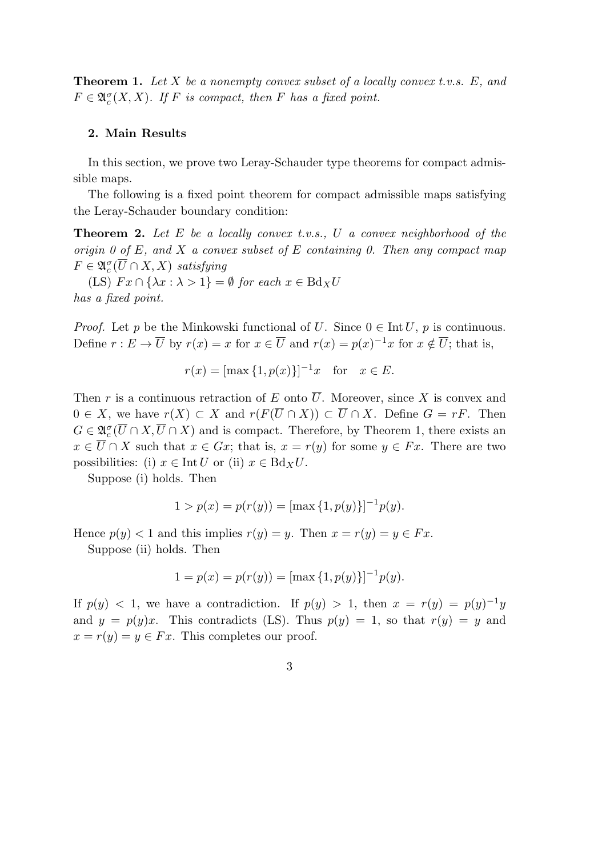**Theorem 1.** *Let X be a nonempty convex subset of a locally convex t.v.s. E, and*  $F \in \mathfrak{A}_c^{\sigma}(X,X)$ *.* If *F* is compact, then *F* has a fixed point.

### **2. Main Results**

In this section, we prove two Leray-Schauder type theorems for compact admissible maps.

The following is a fixed point theorem for compact admissible maps satisfying the Leray-Schauder boundary condition:

**Theorem 2.** *Let E be a locally convex t.v.s., U a convex neighborhood of the origin 0 of E, and X a convex subset of E containing 0. Then any compact map*  $F \in \mathfrak{A}_c^{\sigma}(\overline{U} \cap X, X)$  *satisfying* 

 $(LS) \, Fx \cap {\lambda x : \lambda > 1} = \emptyset \text{ for each } x \in BdxU$ *has a fixed point.*

*Proof.* Let *p* be the Minkowski functional of *U*. Since  $0 \in \text{Int } U$ , *p* is continuous. Define  $r : E \to \overline{U}$  by  $r(x) = x$  for  $x \in \overline{U}$  and  $r(x) = p(x)^{-1}x$  for  $x \notin \overline{U}$ ; that is,

$$
r(x) = [\max\{1, p(x)\}]^{-1}x
$$
 for  $x \in E$ .

Then *r* is a continuous retraction of *E* onto  $\overline{U}$ . Moreover, since *X* is convex and  $0 \in X$ , we have  $r(X) \subset X$  and  $r(F(\overline{U} \cap X)) \subset \overline{U} \cap X$ . Define  $G = rF$ . Then  $G \in \mathfrak{A}_c^{\sigma}(\overline{U} \cap X, \overline{U} \cap X)$  and is compact. Therefore, by Theorem 1, there exists an *x* ∈  $\overline{U}$  ∩ *X* such that *x* ∈ *Gx*; that is, *x* = *r*(*y*) for some *y* ∈ *Fx*. There are two possibilities: (i)  $x \in \text{Int } U$  or (ii)  $x \in \text{Bd}_X U$ .

Suppose (i) holds. Then

$$
1 > p(x) = p(r(y)) = [\max\{1, p(y)\}]^{-1} p(y).
$$

Hence  $p(y) < 1$  and this implies  $r(y) = y$ . Then  $x = r(y) = y \in Fx$ .

Suppose (ii) holds. Then

$$
1 = p(x) = p(r(y)) = [\max\{1, p(y)\}]^{-1} p(y).
$$

If  $p(y) < 1$ , we have a contradiction. If  $p(y) > 1$ , then  $x = r(y) = p(y)^{-1}y$ and  $y = p(y)x$ . This contradicts (LS). Thus  $p(y) = 1$ , so that  $r(y) = y$  and  $x = r(y) = y \in Fx$ . This completes our proof.

3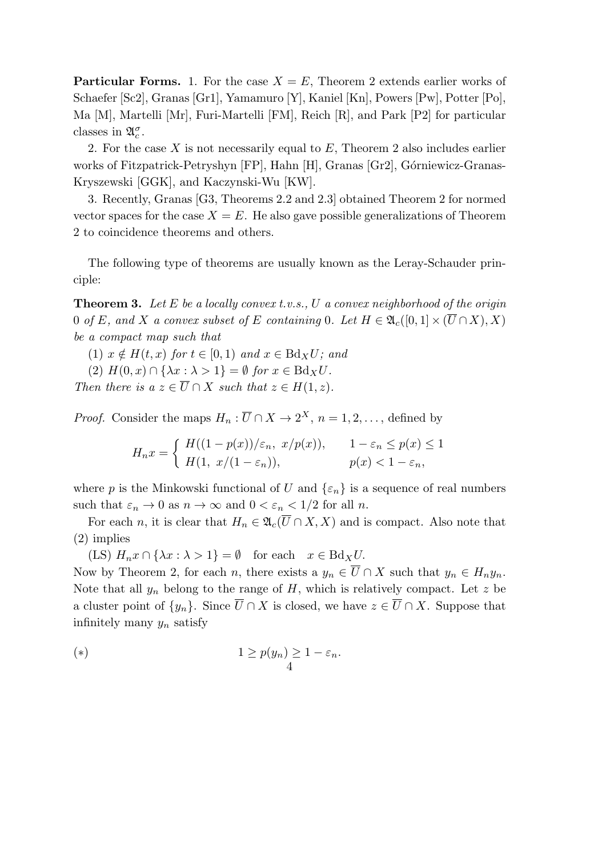**Particular Forms.** 1. For the case  $X = E$ , Theorem 2 extends earlier works of Schaefer [Sc2], Granas [Gr1], Yamamuro [Y], Kaniel [Kn], Powers [Pw], Potter [Po], Ma [M], Martelli [Mr], Furi-Martelli [FM], Reich [R], and Park [P2] for particular classes in  $\mathfrak{A}_{c}^{\sigma}$ .

2. For the case *X* is not necessarily equal to *E*, Theorem 2 also includes earlier works of Fitzpatrick-Petryshyn [FP], Hahn [H], Granas [Gr2], Górniewicz-Granas-Kryszewski [GGK], and Kaczynski-Wu [KW].

3. Recently, Granas [G3, Theorems 2.2 and 2.3] obtained Theorem 2 for normed vector spaces for the case  $X = E$ . He also gave possible generalizations of Theorem 2 to coincidence theorems and others.

The following type of theorems are usually known as the Leray-Schauder principle:

**Theorem 3.** *Let E be a locally convex t.v.s., U a convex neighborhood of the origin* 0 *of E,* and *X a convex subset of E containing* 0*.* Let  $H \in \mathfrak{A}_{c}([0,1] \times (\overline{U} \cap X), X)$ *be a compact map such that*

 $(1)$   $x \notin H(t, x)$  for  $t \in [0, 1)$  and  $x \in Bdx$ *U*; and

 $(2)$   $H(0, x) \cap {\lambda x : \lambda > 1} = \emptyset$  *for*  $x \in \text{Bd}_X U$ .

*Then there is a*  $z \in \overline{U} \cap X$  *such that*  $z \in H(1, z)$ *.* 

*Proof.* Consider the maps  $H_n: \overline{U} \cap X \to 2^X$ ,  $n = 1, 2, \ldots$ , defined by

$$
H_n x = \begin{cases} H((1 - p(x))/\varepsilon_n, x/p(x)), & 1 - \varepsilon_n \le p(x) \le 1 \\ H(1, x/(1 - \varepsilon_n)), & p(x) < 1 - \varepsilon_n, \end{cases}
$$

where *p* is the Minkowski functional of *U* and  $\{\varepsilon_n\}$  is a sequence of real numbers such that  $\varepsilon_n \to 0$  as  $n \to \infty$  and  $0 < \varepsilon_n < 1/2$  for all *n*.

For each *n*, it is clear that  $H_n \in \mathfrak{A}_c(\overline{U} \cap X, X)$  and is compact. Also note that (2) implies

 $(LS)$   $H_n x \cap {\lambda x : \lambda > 1} = \emptyset$  for each  $x \in Bd_X U$ .

Now by Theorem 2, for each *n*, there exists a  $y_n \in \overline{U} \cap X$  such that  $y_n \in H_n y_n$ . Note that all  $y_n$  belong to the range of  $H$ , which is relatively compact. Let  $z$  be a cluster point of  $\{y_n\}$ . Since  $\overline{U} \cap X$  is closed, we have  $z \in \overline{U} \cap X$ . Suppose that infinitely many *y<sup>n</sup>* satisfy

(\*)  
\n
$$
1 \ge p(y_n) \ge 1 - \varepsilon_n.
$$
\n
$$
4
$$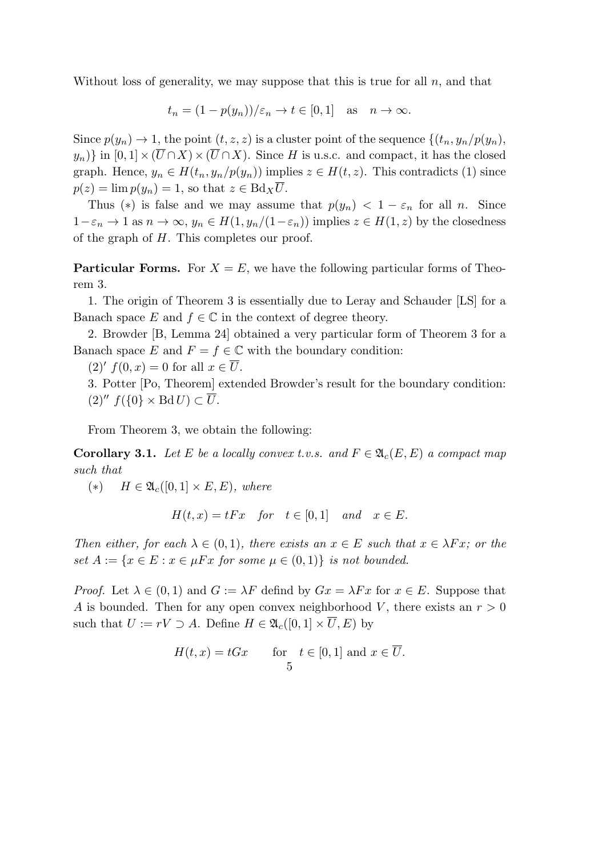Without loss of generality, we may suppose that this is true for all *n*, and that

$$
t_n = (1 - p(y_n))/\varepsilon_n \to t \in [0, 1]
$$
 as  $n \to \infty$ .

Since  $p(y_n) \to 1$ , the point  $(t, z, z)$  is a cluster point of the sequence  $\{(t_n, y_n/p(y_n),$  $y_n$ } in  $[0,1] \times (\overline{U} \cap X) \times (\overline{U} \cap X)$ . Since *H* is u.s.c. and compact, it has the closed graph. Hence,  $y_n \in H(t_n, y_n/p(y_n))$  implies  $z \in H(t, z)$ . This contradicts (1) since  $p(z) = \lim p(y_n) = 1$ , so that  $z \in Bd_X\overline{U}$ .

Thus (\*) is false and we may assume that  $p(y_n) < 1 - \varepsilon_n$  for all *n*. Since  $1 - \varepsilon_n$  → 1 as  $n \to \infty$ ,  $y_n \in H(1, y_n/(1 - \varepsilon_n))$  implies  $z \in H(1, z)$  by the closedness of the graph of *H*. This completes our proof.

**Particular Forms.** For  $X = E$ , we have the following particular forms of Theorem 3.

1. The origin of Theorem 3 is essentially due to Leray and Schauder [LS] for a Banach space *E* and  $f \in \mathbb{C}$  in the context of degree theory.

2. Browder [B, Lemma 24] obtained a very particular form of Theorem 3 for a Banach space *E* and  $F = f \in \mathbb{C}$  with the boundary condition:

 $(2)'$   $f(0, x) = 0$  for all  $x \in U$ .

3. Potter [Po, Theorem] extended Browder's result for the boundary condition:  $(2)''$   $f(\{0\} \times \text{Bd} U) \subset \overline{U}$ .

From Theorem 3, we obtain the following:

**Corollary 3.1.** Let E be a locally convex t.v.s. and  $F \in \mathfrak{A}_c(E, E)$  a compact map *such that*

 $(*)$  *H*  $\in \mathfrak{A}_{c}([0,1] \times E, E),$  where

$$
H(t, x) = tFx \quad for \quad t \in [0, 1] \quad and \quad x \in E.
$$

*Then either, for each*  $\lambda \in (0,1)$ *, there exists an*  $x \in E$  *such that*  $x \in \lambda Fx$ *; or the set*  $A := \{x \in E : x \in \mu F x \text{ for some } \mu \in (0,1)\}$  *is not bounded.* 

*Proof.* Let  $\lambda \in (0,1)$  and  $G := \lambda F$  defind by  $Gx = \lambda Fx$  for  $x \in E$ . Suppose that *A* is bounded. Then for any open convex neighborhood *V* , there exists an *r >* 0 such that  $U := rV \supset A$ . Define  $H \in \mathfrak{A}_{c}([0,1] \times \overline{U}, E)$  by

$$
H(t, x) = tGx \quad \text{for} \quad t \in [0, 1] \text{ and } x \in \overline{U}.
$$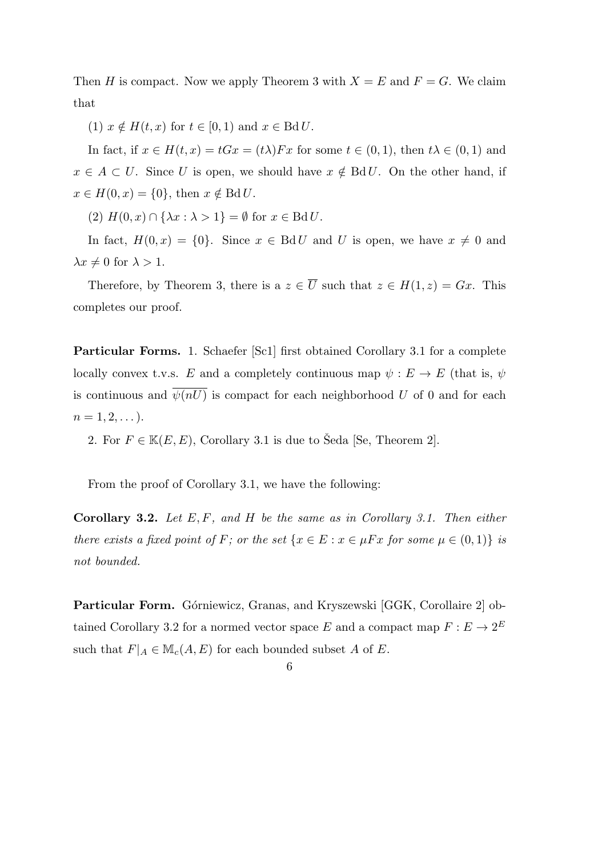Then *H* is compact. Now we apply Theorem 3 with  $X = E$  and  $F = G$ . We claim that

 $(1)$   $x \notin H(t, x)$  for  $t \in [0, 1)$  and  $x \in \text{Bd} U$ .

In fact, if  $x \in H(t, x) = tGx = (t\lambda)Fx$  for some  $t \in (0, 1)$ , then  $t\lambda \in (0, 1)$  and  $x \in A \subset U$ . Since *U* is open, we should have  $x \notin BdU$ . On the other hand, if  $x \in H(0, x) = \{0\}$ , then  $x \notin \text{Bd} U$ .

 $(2)$   $H(0, x) \cap {\lambda x : \lambda > 1} = \emptyset$  for  $x \in \text{Bd} U$ .

In fact,  $H(0, x) = \{0\}$ . Since  $x \in \text{Bd } U$  and U is open, we have  $x \neq 0$  and  $\lambda x \neq 0$  for  $\lambda > 1$ .

Therefore, by Theorem 3, there is a  $z \in \overline{U}$  such that  $z \in H(1, z) = Gx$ . This completes our proof.

**Particular Forms.** 1. Schaefer [Sc1] first obtained Corollary 3.1 for a complete locally convex t.v.s. *E* and a completely continuous map  $\psi : E \to E$  (that is,  $\psi$ is continuous and  $\overline{\psi(nU)}$  is compact for each neighborhood *U* of 0 and for each  $n = 1, 2, \ldots$ .

2. For  $F \in \mathbb{K}(E, E)$ , Corollary 3.1 is due to Šeda [Se, Theorem 2].

From the proof of Corollary 3.1, we have the following:

**Corollary 3.2.** *Let E, F, and H be the same as in Corollary 3.1. Then either there exists a fixed point of F*; or the set  $\{x \in E : x \in \mu Fx \text{ for some } \mu \in (0,1)\}$  is *not bounded.*

Particular Form. Górniewicz, Granas, and Kryszewski [GGK, Corollaire 2] obtained Corollary 3.2 for a normed vector space *E* and a compact map  $F: E \to 2^E$ such that  $F|_A \in M_c(A, E)$  for each bounded subset *A* of *E*.

6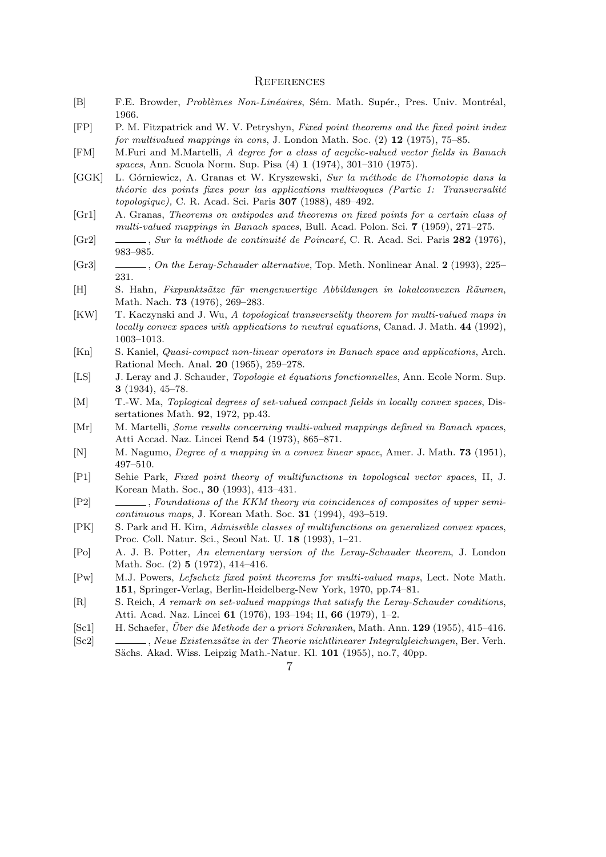#### **REFERENCES**

- [B] F.E. Browder, *Problèmes Non-Linéaires*, Sém. Math. Supér., Pres. Univ. Montréal, 1966.
- [FP] P. M. Fitzpatrick and W. V. Petryshyn, *Fixed point theorems and the fixed point index for multivalued mappings in cons*, J. London Math. Soc. (2) **12** (1975), 75–85.
- [FM] M.Furi and M.Martelli, *A degree for a class of acyclic-valued vector fields in Banach spaces*, Ann. Scuola Norm. Sup. Pisa (4) **1** (1974), 301–310 (1975).
- [GGK] L. G´orniewicz, A. Granas et W. Kryszewski, *Sur la m´ethode de l'homotopie dans la théorie des points fixes pour las applications multivoques (Partie 1: Transversalité topologique),* C. R. Acad. Sci. Paris **307** (1988), 489–492.
- [Gr1] A. Granas, *Theorems on antipodes and theorems on fixed points for a certain class of multi-valued mappings in Banach spaces*, Bull. Acad. Polon. Sci. **7** (1959), 271–275.
- [Gr2] , *Sur la méthode de continuité de Poincaré*, C. R. Acad. Sci. Paris 282 (1976), 983–985.
- [Gr3] , *On the Leray-Schauder alternative*, Top. Meth. Nonlinear Anal. **2** (1993), 225– 231.
- [H] S. Hahn, *Fixpunktsätze für mengenwertige Abbildungen in lokalconvexen Räumen*, Math. Nach. **73** (1976), 269–283.
- [KW] T. Kaczynski and J. Wu, *A topological transverselity theorem for multi-valued maps in locally convex spaces with applications to neutral equations*, Canad. J. Math. **44** (1992), 1003–1013.
- [Kn] S. Kaniel, *Quasi-compact non-linear operators in Banach space and applications*, Arch. Rational Mech. Anal. **20** (1965), 259–278.
- [LS] J. Leray and J. Schauder, *Topologie et ´equations fonctionnelles*, Ann. Ecole Norm. Sup. **3** (1934), 45–78.
- [M] T.-W. Ma, *Toplogical degrees of set-valued compact fields in locally convex spaces*, Dissertationes Math. **92**, 1972, pp.43.
- [Mr] M. Martelli, *Some results concerning multi-valued mappings defined in Banach spaces*, Atti Accad. Naz. Lincei Rend **54** (1973), 865–871.
- [N] M. Nagumo, *Degree of a mapping in a convex linear space*, Amer. J. Math. **73** (1951), 497–510.
- [P1] Sehie Park, *Fixed point theory of multifunctions in topological vector spaces*, II, J. Korean Math. Soc., **30** (1993), 413–431.
- [P2] , *Foundations of the KKM theory via coincidences of composites of upper semicontinuous maps*, J. Korean Math. Soc. **31** (1994), 493–519.
- [PK] S. Park and H. Kim, *Admissible classes of multifunctions on generalized convex spaces*, Proc. Coll. Natur. Sci., Seoul Nat. U. **18** (1993), 1–21.
- [Po] A. J. B. Potter, *An elementary version of the Leray-Schauder theorem*, J. London Math. Soc. (2) **5** (1972), 414–416.
- [Pw] M.J. Powers, *Lefschetz fixed point theorems for multi-valued maps*, Lect. Note Math. **151**, Springer-Verlag, Berlin-Heidelberg-New York, 1970, pp.74–81.
- [R] S. Reich, *A remark on set-valued mappings that satisfy the Leray-Schauder conditions*, Atti. Acad. Naz. Lincei **61** (1976), 193–194; II, **66** (1979), 1–2.
- [Sc1] H. Schaefer, *Uber die Methode der a priori Schranken ¨* , Math. Ann. **129** (1955), 415–416.
- [Sc2] , *Neue Existenzs¨atze in der Theorie nichtlinearer Integralgleichungen*, Ber. Verh. Sächs. Akad. Wiss. Leipzig Math.-Natur. Kl. 101 (1955), no.7, 40pp.
	- 7